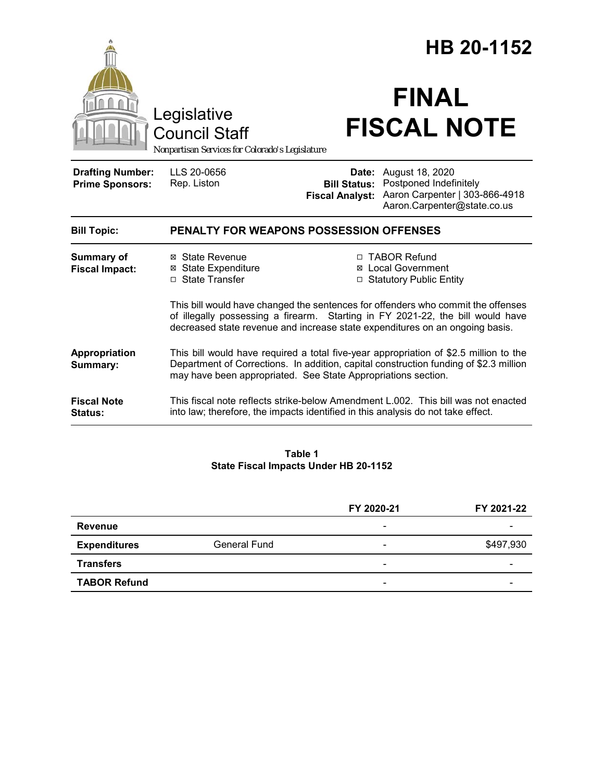|                                                   | Legislative<br><b>Council Staff</b><br>Nonpartisan Services for Colorado's Legislature |                                               | HB 20-1152<br><b>FINAL</b><br><b>FISCAL NOTE</b>                                                                                                                                                                                                   |
|---------------------------------------------------|----------------------------------------------------------------------------------------|-----------------------------------------------|----------------------------------------------------------------------------------------------------------------------------------------------------------------------------------------------------------------------------------------------------|
| <b>Drafting Number:</b><br><b>Prime Sponsors:</b> | LLS 20-0656<br>Rep. Liston                                                             | <b>Bill Status:</b><br><b>Fiscal Analyst:</b> | <b>Date:</b> August 18, 2020<br>Postponed Indefinitely<br>Aaron Carpenter   303-866-4918<br>Aaron.Carpenter@state.co.us                                                                                                                            |
| <b>Bill Topic:</b>                                | <b>PENALTY FOR WEAPONS POSSESSION OFFENSES</b>                                         |                                               |                                                                                                                                                                                                                                                    |
| <b>Summary of</b><br><b>Fiscal Impact:</b>        | ⊠ State Revenue<br><b>⊠</b> State Expenditure<br>□ State Transfer                      | ⊠                                             | □ TABOR Refund<br><b>Local Government</b><br>□ Statutory Public Entity                                                                                                                                                                             |
|                                                   |                                                                                        |                                               | This bill would have changed the sentences for offenders who commit the offenses<br>of illegally possessing a firearm. Starting in FY 2021-22, the bill would have<br>decreased state revenue and increase state expenditures on an ongoing basis. |
| Appropriation<br>Summary:                         | may have been appropriated. See State Appropriations section.                          |                                               | This bill would have required a total five-year appropriation of \$2.5 million to the<br>Department of Corrections. In addition, capital construction funding of \$2.3 million                                                                     |
| <b>Fiscal Note</b><br>Status:                     | into law; therefore, the impacts identified in this analysis do not take effect.       |                                               | This fiscal note reflects strike-below Amendment L.002. This bill was not enacted                                                                                                                                                                  |

#### **Table 1 State Fiscal Impacts Under HB 20-1152**

|                     |                     | FY 2020-21               | FY 2021-22 |
|---------------------|---------------------|--------------------------|------------|
| Revenue             |                     | $\overline{\phantom{a}}$ |            |
| <b>Expenditures</b> | <b>General Fund</b> | -                        | \$497,930  |
| <b>Transfers</b>    |                     | $\overline{\phantom{0}}$ | -          |
| <b>TABOR Refund</b> |                     | $\overline{\phantom{0}}$ |            |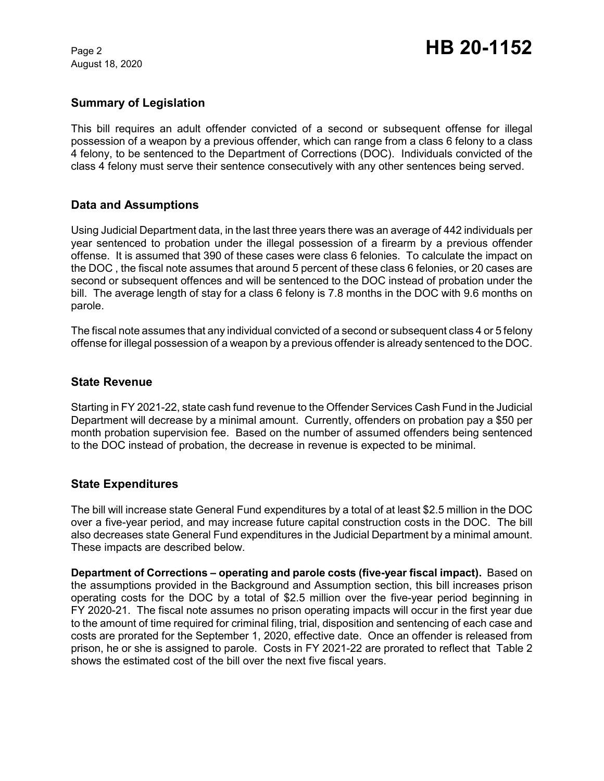August 18, 2020

# **Summary of Legislation**

This bill requires an adult offender convicted of a second or subsequent offense for illegal possession of a weapon by a previous offender, which can range from a class 6 felony to a class 4 felony, to be sentenced to the Department of Corrections (DOC). Individuals convicted of the class 4 felony must serve their sentence consecutively with any other sentences being served.

## **Data and Assumptions**

Using Judicial Department data, in the last three years there was an average of 442 individuals per year sentenced to probation under the illegal possession of a firearm by a previous offender offense. It is assumed that 390 of these cases were class 6 felonies. To calculate the impact on the DOC , the fiscal note assumes that around 5 percent of these class 6 felonies, or 20 cases are second or subsequent offences and will be sentenced to the DOC instead of probation under the bill. The average length of stay for a class 6 felony is 7.8 months in the DOC with 9.6 months on parole.

The fiscal note assumes that any individual convicted of a second or subsequent class 4 or 5 felony offense for illegal possession of a weapon by a previous offender is already sentenced to the DOC.

### **State Revenue**

Starting in FY 2021-22, state cash fund revenue to the Offender Services Cash Fund in the Judicial Department will decrease by a minimal amount. Currently, offenders on probation pay a \$50 per month probation supervision fee. Based on the number of assumed offenders being sentenced to the DOC instead of probation, the decrease in revenue is expected to be minimal.

### **State Expenditures**

The bill will increase state General Fund expenditures by a total of at least \$2.5 million in the DOC over a five-year period, and may increase future capital construction costs in the DOC. The bill also decreases state General Fund expenditures in the Judicial Department by a minimal amount. These impacts are described below.

**Department of Corrections – operating and parole costs (five-year fiscal impact).**Based on the assumptions provided in the Background and Assumption section, this bill increases prison operating costs for the DOC by a total of \$2.5 million over the five-year period beginning in FY 2020-21. The fiscal note assumes no prison operating impacts will occur in the first year due to the amount of time required for criminal filing, trial, disposition and sentencing of each case and costs are prorated for the September 1, 2020, effective date. Once an offender is released from prison, he or she is assigned to parole. Costs in FY 2021-22 are prorated to reflect that Table 2 shows the estimated cost of the bill over the next five fiscal years.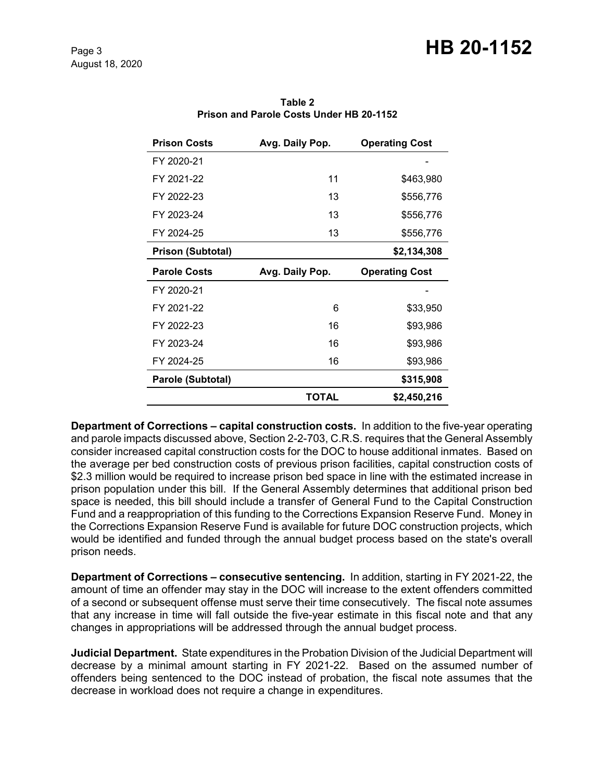# Page 3 **HB 20-1152**

| <b>Prison Costs</b>      | Avg. Daily Pop. | <b>Operating Cost</b> |
|--------------------------|-----------------|-----------------------|
| FY 2020-21               |                 |                       |
| FY 2021-22               | 11              | \$463,980             |
| FY 2022-23               | 13              | \$556,776             |
| FY 2023-24               | 13              | \$556,776             |
| FY 2024-25               | 13              | \$556,776             |
| <b>Prison (Subtotal)</b> |                 | \$2,134,308           |
|                          |                 |                       |
| <b>Parole Costs</b>      | Avg. Daily Pop. | <b>Operating Cost</b> |
| FY 2020-21               |                 |                       |
| FY 2021-22               | 6               | \$33,950              |
| FY 2022-23               | 16              | \$93,986              |
| FY 2023-24               | 16              | \$93,986              |
| FY 2024-25               | 16              | \$93,986              |
| Parole (Subtotal)        |                 | \$315,908             |

**Table 2 Prison and Parole Costs Under HB 20-1152**

**Department of Corrections – capital construction costs.** In addition to the five-year operating and parole impacts discussed above, Section 2-2-703, C.R.S. requires that the General Assembly consider increased capital construction costs for the DOC to house additional inmates. Based on the average per bed construction costs of previous prison facilities, capital construction costs of \$2.3 million would be required to increase prison bed space in line with the estimated increase in prison population under this bill. If the General Assembly determines that additional prison bed space is needed, this bill should include a transfer of General Fund to the Capital Construction Fund and a reappropriation of this funding to the Corrections Expansion Reserve Fund. Money in the Corrections Expansion Reserve Fund is available for future DOC construction projects, which would be identified and funded through the annual budget process based on the state's overall prison needs.

**Department of Corrections – consecutive sentencing.** In addition, starting in FY 2021-22, the amount of time an offender may stay in the DOC will increase to the extent offenders committed of a second or subsequent offense must serve their time consecutively. The fiscal note assumes that any increase in time will fall outside the five-year estimate in this fiscal note and that any changes in appropriations will be addressed through the annual budget process.

**Judicial Department.** State expenditures in the Probation Division of the Judicial Department will decrease by a minimal amount starting in FY 2021-22. Based on the assumed number of offenders being sentenced to the DOC instead of probation, the fiscal note assumes that the decrease in workload does not require a change in expenditures.